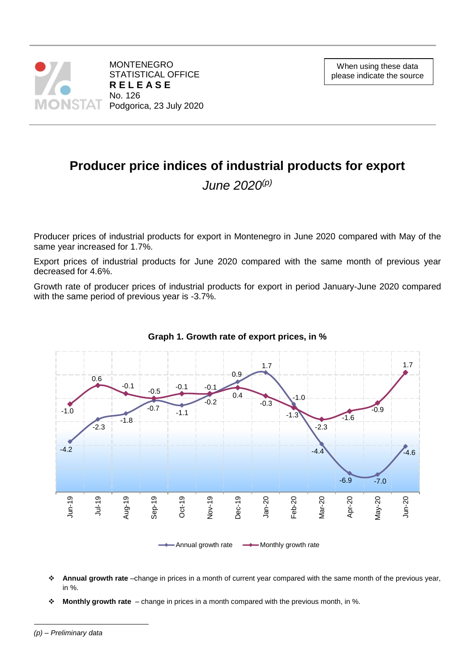

# **Producer price indices of industrial products for export**

*June 2020(p)*

Producer prices of industrial products for export in Montenegro in June 2020 compared with May of the same year increased for 1.7%.

Export prices of industrial products for June 2020 compared with the same month of previous year decreased for 4.6%.

Growth rate of producer prices of industrial products for export in period January-June 2020 compared with the same period of previous year is -3.7%.



### **Graph 1. Growth rate of export prices, in %**

- **Annual growth rate** –change in prices in a month of current year compared with the same month of the previous year, in %.
- **Monthly growth rate**  change in prices in a month compared with the previous month, in %.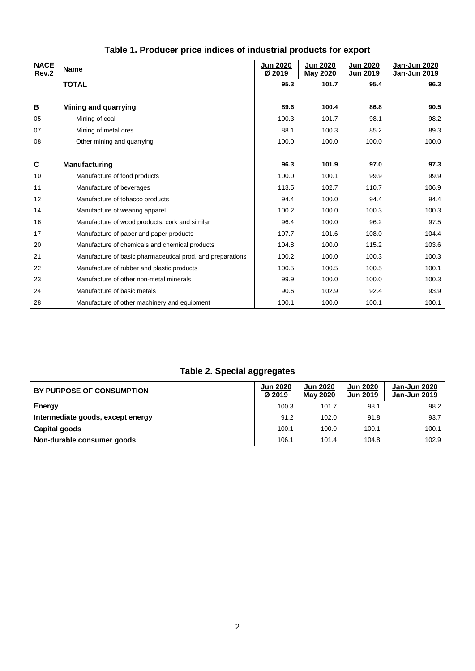| <b>NACE</b><br>Rev.2 | <b>Name</b>                                                | <b>Jun 2020</b><br>Ø 2019 | <b>Jun 2020</b><br><b>May 2020</b> | <b>Jun 2020</b><br><b>Jun 2019</b> | Jan-Jun 2020<br>Jan-Jun 2019 |
|----------------------|------------------------------------------------------------|---------------------------|------------------------------------|------------------------------------|------------------------------|
|                      | <b>TOTAL</b>                                               | 95.3                      | 101.7                              | 95.4                               | 96.3                         |
|                      |                                                            |                           |                                    |                                    |                              |
| В                    | <b>Mining and quarrying</b>                                | 89.6                      | 100.4                              | 86.8                               | 90.5                         |
| 05                   | Mining of coal                                             | 100.3                     | 101.7                              | 98.1                               | 98.2                         |
| 07                   | Mining of metal ores                                       | 88.1                      | 100.3                              | 85.2                               | 89.3                         |
| 08                   | Other mining and quarrying                                 | 100.0                     | 100.0                              | 100.0                              | 100.0                        |
|                      |                                                            |                           |                                    |                                    |                              |
| C                    | <b>Manufacturing</b>                                       | 96.3                      | 101.9                              | 97.0                               | 97.3                         |
| 10                   | Manufacture of food products                               | 100.0                     | 100.1                              | 99.9                               | 99.9                         |
| 11                   | Manufacture of beverages                                   | 113.5                     | 102.7                              | 110.7                              | 106.9                        |
| 12                   | Manufacture of tobacco products                            | 94.4                      | 100.0                              | 94.4                               | 94.4                         |
| 14                   | Manufacture of wearing apparel                             | 100.2                     | 100.0                              | 100.3                              | 100.3                        |
| 16                   | Manufacture of wood products, cork and similar             | 96.4                      | 100.0                              | 96.2                               | 97.5                         |
| 17                   | Manufacture of paper and paper products                    | 107.7                     | 101.6                              | 108.0                              | 104.4                        |
| 20                   | Manufacture of chemicals and chemical products             | 104.8                     | 100.0                              | 115.2                              | 103.6                        |
| 21                   | Manufacture of basic pharmaceutical prod. and preparations | 100.2                     | 100.0                              | 100.3                              | 100.3                        |
| 22                   | Manufacture of rubber and plastic products                 | 100.5                     | 100.5                              | 100.5                              | 100.1                        |
| 23                   | Manufacture of other non-metal minerals                    | 99.9                      | 100.0                              | 100.0                              | 100.3                        |
| 24                   | Manufacture of basic metals                                | 90.6                      | 102.9                              | 92.4                               | 93.9                         |
| 28                   | Manufacture of other machinery and equipment               | 100.1                     | 100.0                              | 100.1                              | 100.1                        |

## **Table 1. Producer price indices of industrial products for export**

## **Table 2. Special aggregates**

| BY PURPOSE OF CONSUMPTION         | <b>Jun 2020</b><br>Ø 2019 | <b>Jun 2020</b><br><b>May 2020</b> | <b>Jun 2020</b><br><b>Jun 2019</b> | Jan-Jun 2020<br><b>Jan-Jun 2019</b> |
|-----------------------------------|---------------------------|------------------------------------|------------------------------------|-------------------------------------|
| Energy                            | 100.3                     | 101.7                              | 98.1                               | 98.2                                |
| Intermediate goods, except energy | 91.2                      | 102.0                              | 91.8                               | 93.7                                |
| Capital goods                     | 100.1                     | 100.0                              | 100.1                              | 100.1                               |
| Non-durable consumer goods        | 106.1                     | 101.4                              | 104.8                              | 102.9                               |